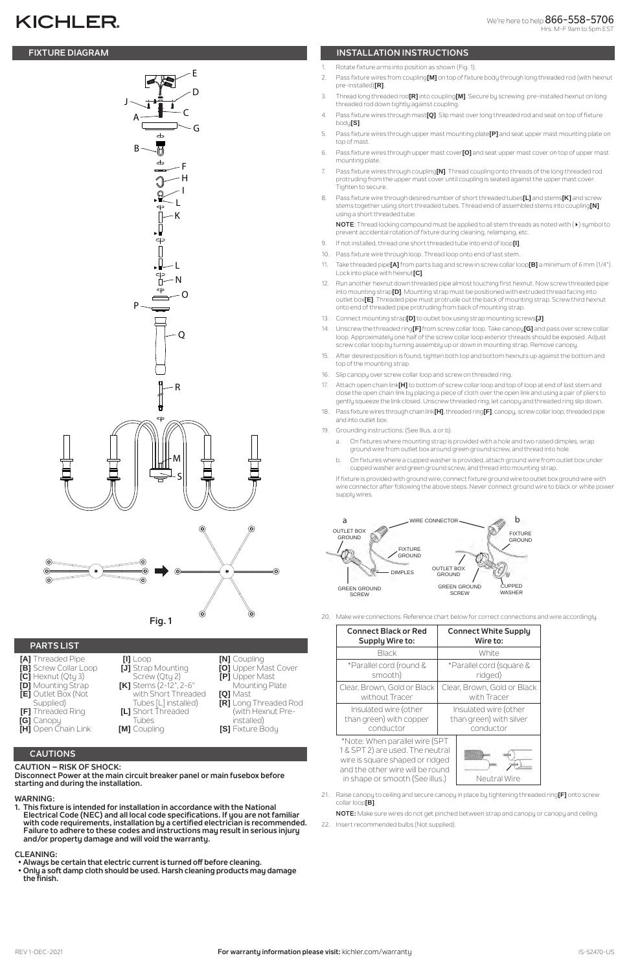# **KICHLER**

# **CAUTIONS**

#### **CAUTION – RISK OF SHOCK:**

**Disconnect Power at the main circuit breaker panel or main fusebox before starting and during the installation.** 

#### **WARNING:**

**1. This fixture is intended for installation in accordance with the National Electrical Code (NEC) and all local code specifications. If you are not familiar with code requirements, installation by a certified electrician is recommended. Failure to adhere to these codes and instructions may result in serious injury and/or property damage and will void the warranty.**

#### **CLEANING:**

- **[A]** Threaded Pipe **[B]** Screw Collar Loop **[C]** Hexnut (Qty 3) **[D]** Mounting Strap **[E]** Outlet Box (Not Supplied) **[F]** Threaded Ring
- **[I]** Loop **[J]** Strap Mounting Screw (Qty 2) **[K]** Stems (2-12", 2-6" with Short Threaded Tubes [L] installed) **[L]** Short Threaded
- **[N]** Coupling
- **[O]** Upper Mast Cover
- **[P]** Upper Mast
- Mounting Plate **[Q]** Mast
- **[R]** Long Threaded Rod (with Hexnut Pre-

- **Always be certain that electric current is turned off before cleaning.**
- **Only a soft damp cloth should be used. Harsh cleaning products may damage the finish.**

# **FIXTURE DIAGRAM INSTALLATION INSTRUCTIONS**

# **PARTS LIST**

```
[G] Canopy
[H] Open Chain Link
```
Tubes **[M]** Coupling

installed) **[S]** Fixture Body

- 1. Rotate fixture arms into position as shown (Fig. 1).
- 2. Pass fixture wires from coupling**[M]** on top of fixture body through long threaded rod (with hexnut pre-installed)**[R]**.
- 3. Thread long threaded rod**[R]** into coupling**[M]**. Secure by screwing pre-installed hexnut on long threaded rod down tightly against coupling.
- 4. Pass fixture wires through mast**[Q]**. Slip mast over long threaded rod and seat on top of fixture body**[S]**.
- 5. Pass fixture wires through upper mast mounting plate**[P]** and seat upper mast mounting plate on top of mast.
- 6. Pass fixture wires through upper mast cover**[O]** and seat upper mast cover on top of upper mast mounting plate.
- 7. Pass fixture wires through coupling**[N]**. Thread coupling onto threads of the long threaded rod protruding from the upper mast cover until coupling is seated against the upper mast cover. Tighten to secure.
- 8. Pass fixture wire through desired number of short threaded tubes**[L]** and stems**[K]** and screw stems together using short threaded tubes. Thread end of assembled stems into coupling**[N]** using a short threaded tube.

**NOTE**: Thread locking compound must be applied to all stem threads as noted with (4) symbol to prevent accidental rotation of fixture during cleaning, relamping, etc.

\*Note: When parallel wire (SPT 1 & SPT 2) are used. The neutral wire is square shaped or ridged and the other wire will be round in shape or smooth (See illus.)  $\vert$  Neutral Wire



- 9. If not installed, thread one short threaded tube into end of loop**[I]**.
- 10. Pass fixture wire through loop. Thread loop onto end of last stem.
- 11. Take threaded pipe**[A]** from parts bag and screw in screw collar loop**[B]** a minimum of 6 mm (1/4"). Lock into place with hexnut**[C]**.
- 12. Run another hexnut down threaded pipe almost touching first hexnut. Now screw threaded pipe into mounting strap**[D]**. Mounting strap must be positioned with extruded thread facing into outlet box**[E]**. Threaded pipe must protrude out the back of mounting strap. Screw third hexnut onto end of threaded pipe protruding from back of mounting strap.
- 13. Connect mounting strap**[D]** to outlet box using strap mounting screws**[J]**.
- 14. Unscrew the threaded ring**[F]** from screw collar loop. Take canopy**[G]** and pass over screw collar loop. Approximately one half of the screw collar loop exterior threads should be exposed. Adjust screw collar loop by turning assembly up or down in mounting strap. Remove canopy.
- 15. After desired position is found, tighten both top and bottom hexnuts up against the bottom and top of the mounting strap.
- 16. Slip canopy over screw collar loop and screw on threaded ring.
- 17. Attach open chain link**[H]** to bottom of screw collar loop and top of loop at end of last stem and close the open chain link by placing a piece of cloth over the open link and using a pair of pliers to gently squeeze the link closed. Unscrew threaded ring, let canopy and threaded ring slip down.
- 18. Pass fixture wires through chain link**[H]**, threaded ring**[F]**, canopy, screw collar loop, threaded pipe and into outlet box.
- 19. Grounding instructions: (See Illus. a or b).
	- a. On fixtures where mounting strap is provided with a hole and two raised dimples, wrap ground wire from outlet box around green ground screw, and thread into hole.
	- b. On fixtures where a cupped washer is provided, attach ground wire from outlet box under cupped washer and green ground screw, and thread into mounting strap.

If fixture is provided with ground wire, connect fixture ground wire to outlet box ground wire with wire connector after following the above steps. Never connect ground wire to black or white power supply wires.

| <b>Connect Black or Red</b> | <b>Connect White Supply</b> |
|-----------------------------|-----------------------------|
| <b>Supply Wire to:</b>      | Wire to:                    |
| <b>Black</b>                | White                       |
| *Parallel cord (round &     | *Parallel cord (square &    |
| smooth)                     | ridged)                     |
| Clear, Brown, Gold or Black | Clear, Brown, Gold or Black |
| without Tracer              | with Tracer                 |
| Insulated wire (other       | Insulated wire (other       |

than green) with copper conductor

than green) with silver conductor

21. Raise canopy to ceiling and secure canopy in place by tightening threaded ring**[F]** onto screw collar loop**[B]**.

**NOTE:** Make sure wires do not get pinched between strap and canopy or canopy and ceiling.

22. Insert recommended bulbs (Not supplied).



20. Make wire connections. Reference chart below for correct connections and wire accordingly.

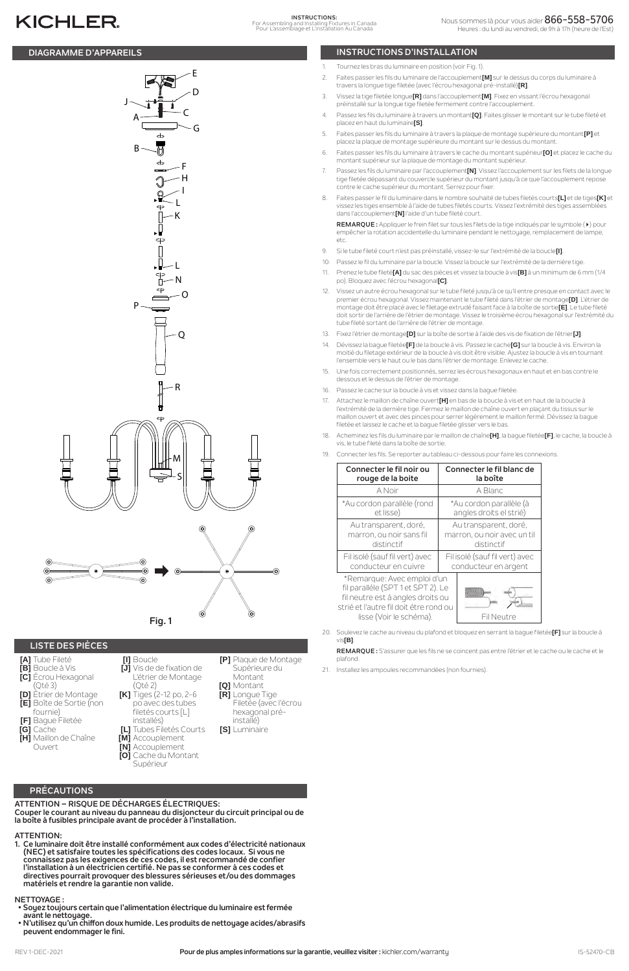# **PRÉCAUTIONS**

**ATTENTION – RISQUE DE DÉCHARGES ÉLECTRIQUES: Couper le courant au niveau du panneau du disjoncteur du circuit principal ou de la boîte à fusibles principale avant de procéder à l'installation.**

### **ATTENTION:**

**1. Ce luminaire doit être installé conformément aux codes d'électricité nationaux (NEC) et satisfaire toutes les spécifications des codes locaux. Si vous ne connaissez pas les exigences de ces codes, il est recommandé de confier l'installation à un électricien certifié. Ne pas se conformer à ces codes et directives pourrait provoquer des blessures sérieuses et/ou des dommages matériels et rendre la garantie non valide.**

#### **NETTOYAGE :**

**[F]** Bague Filetée **[G]** Cache **[H]** Maillon de Chaîne **Ouvert** 

- **Soyez toujours certain que l'alimentation électrique du luminaire est fermée avant le nettoyage.**
- **N'utilisez qu'un chiffon doux humide. Les produits de nettoyage acides/abrasifs peuvent endommager le fini.**

## **DIAGRAMME D'APPAREILS INSTRUCTIONS D'INSTALLATION**

# **KICHLER**

# **LISTE DES PIÈCES**

- **[A]** Tube Fileté **[B]** Boucle à Vis
- **[C]** Écrou Hexagonal (Qté 3)
- **[D]** Étrier de Montage **[E]** Boîte de Sortie (non fournie)
- **[I]** Boucle **[J]** Vis de de fixation de L'étrier de Montage (Qté 2) **[K]** Tiges (2-12 po, 2-6 po avec des tubes
- **[P]** Plaque de Montage Supérieure du Montant **[Q]** Montant **[R]** Longue Tige
- Filetée (avec l'écrou hexagonal pré-

filetés courts [L] installés) **[L]** Tubes Filetés Courts **[M]** Accouplement **[N]** Accouplement **[O]** Cache du Montant Supérieur

installé) **[S]** Luminaire

- 1. Tournez les bras du luminaire en position (voir Fig. 1).
- 2. Faites passer les fils du luminaire de l'accouplement**[M]** sur le dessus du corps du luminaire à travers la longue tige filetée (avec l'écrou hexagonal pré-installé)**[R]**.
- 3. Vissez la tige filetée longue**[R]** dans l'accouplement**[M]**. Fixez en vissant l'écrou hexagonal préinstallé sur la longue tige filetée fermement contre l'accouplement.
- 4. Passez les fils du luminaire à travers un montant**[Q]**. Faites glisser le montant sur le tube fileté et placez en haut du luminaire**[S]**.
- 5. Faites passer les fils du luminaire à travers la plaque de montage supérieure du montant**[P]** et placez la plaque de montage supérieure du montant sur le dessus du montant.
- 6. Faites passer les fils du luminaire à travers le cache du montant supérieur**[O]** et placez le cache du montant supérieur sur la plaque de montage du montant supérieur.
- 7. Passez les fils du luminaire par l'accouplement**[N]**. Vissez l'accouplement sur les filets de la longue tige filetée dépassant du couvercle supérieur du montant jusqu'à ce que l'accouplement repose contre le cache supérieur du montant. Serrez pour fixer.
- 8. Faites passer le fil du luminaire dans le nombre souhaité de tubes filetés courts**[L]** et de tiges**[K]** et vissez les tiges ensemble à l'aide de tubes filetés courts. Vissez l'extrémité des tiges assemblées dans l'accouplement**[N]** l'aide d'un tube fileté court.

**REMARQUE :** Appliquer le frein filet sur tous les filets de la tige indiqués par le symbole (4) pour empêcher la rotation accidentelle du luminaire pendant le nettoyage, remplacement de lampe, etc.

- 9. Si le tube fileté court n'est pas préinstallé, vissez-le sur l'extrémité de la boucle**[I]**.
- 10. Passez le fil du luminaire par la boucle. Vissez la boucle sur l'extrémité de la dernière tige.
- 11. Prenez le tube fileté**[A]** du sac des pièces et vissez la boucle à vis**[B]** à un minimum de 6 mm (1/4 po). Bloquez avec l'écrou hexagonal**[C]**.
- 12. Vissez un autre écrou hexagonal sur le tube fileté jusqu'à ce qu'il entre presque en contact avec le premier écrou hexagonal. Vissez maintenant le tube fileté dans l'étrier de montage**[D]**. L'étrier de montage doit être placé avec le filetage extrudé faisant face à la boîte de sortie**[E]**. Le tube fileté doit sortir de l'arrière de l'étrier de montage. Vissez le troisième écrou hexagonal sur l'extrémité du tube fileté sortant de l'arrière de l'étrier de montage.
- 13. Fixez l'étrier de montage**[D]** sur la boîte de sortie à l'aide des vis de fixation de l'étrier**[J]**.
- 14. Dévissez la bague filetée**[F]** de la boucle à vis. Passez le cache**[G]** sur la boucle à vis. Environ la moitié du filetage extérieur de la boucle à vis doit être visible. Ajustez la boucle à vis en tournant l'ensemble vers le haut ou le bas dans l'étrier de montage. Enlevez le cache.
- 15. Une fois correctement positionnés, serrez les écrous hexagonaux en haut et en bas contre le dessous et le dessus de l'étrier de montage.
- 16. Passez le cache sur la boucle à vis et vissez dans la bague filetée.
- 17. Attachez le maillon de chaîne ouvert**[H]** en bas de la boucle à vis et en haut de la boucle à l'extrémité de la dernière tige. Fermez le maillon de chaîne ouvert en plaçant du tissus sur le maillon ouvert et avec des pinces pour serrer légèrement le maillon fermé. Dévissez la bague filetée et laissez le cache et la bague filetée glisser vers le bas.
- 18. Acheminez les fils du luminaire par le maillon de chaîne**[H]**, la bague filetée**[F]**, le cache, la boucle à vis, le tube fileté dans la boîte de sortie.
- 19. Connecter les fils. Se reporter au tableau ci-dessous pour faire les connexions.

| Connecter le fil noir ou                                                                                                                                                    | Connecter le fil blanc de      |
|-----------------------------------------------------------------------------------------------------------------------------------------------------------------------------|--------------------------------|
| rouge de la boite                                                                                                                                                           | la boîte                       |
| A Noir                                                                                                                                                                      | A Blanc                        |
| *Au cordon parallèle (rond                                                                                                                                                  | *Au cordon parallèle (à        |
| et lisse)                                                                                                                                                                   | angles droits el strié)        |
| Au transparent, doré,                                                                                                                                                       | Au transparent, doré,          |
| marron, ou noir sans fil                                                                                                                                                    | marron, ou noir avec un til    |
| distinctif                                                                                                                                                                  | distinctif                     |
| Fil isolé (sauf fil vert) avec                                                                                                                                              | Fil isolé (sauf fil vert) avec |
| conducteur en cuivre                                                                                                                                                        | conducteur en argent           |
| *Remarque: Avec emploi d'un<br>fil paralléle (SPT 1 et SPT 2). Le<br>fil neutre est á angles droits ou<br>strié et l'autre fil doit étre rond ou<br>lisse (Voir le schéma). | Fil Neutre                     |

- 20. Soulevez le cache au niveau du plafond et bloquez en serrant la bague filetée**[F]** sur la boucle à vis**[B]**.
	- **REMARQUE :** S'assurer que les fils ne se coincent pas entre l'étrier et le cache ou le cache et le plafond.
- 21. Installez les ampoules recommandées (non fournies).